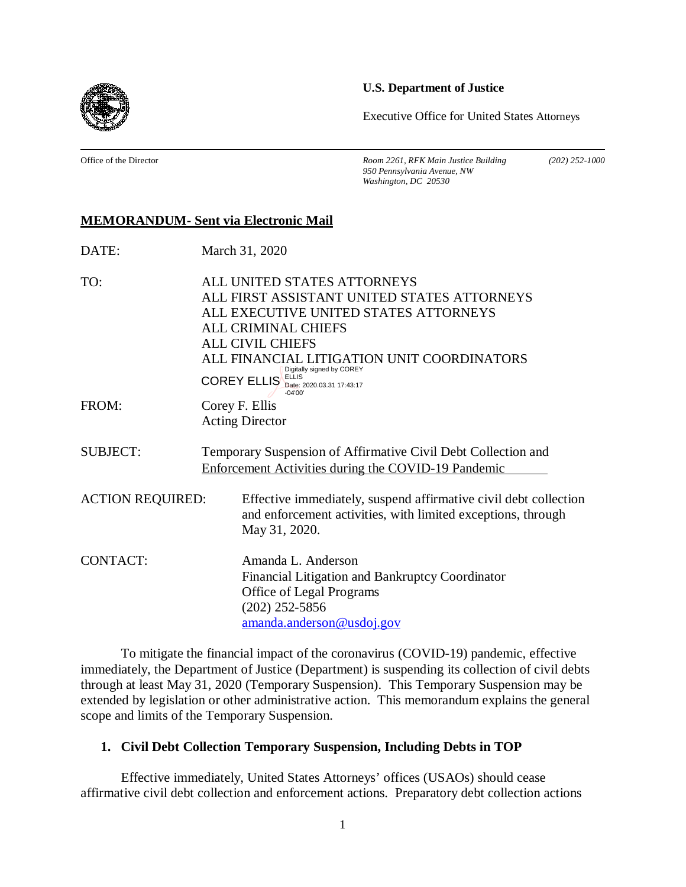**U.S. Department of Justice**

Executive Office for United States Attorneys

Office of the Director *Room 2261, RFK Main Justice Building (202) 252-1000 950 Pennsylvania Avenue, NW Washington, DC 20530*

# **MEMORANDUM- Sent via Electronic Mail**

| DATE:                   | March 31, 2020                                                                                                                                                                                                                                                                                                |
|-------------------------|---------------------------------------------------------------------------------------------------------------------------------------------------------------------------------------------------------------------------------------------------------------------------------------------------------------|
| TO:                     | ALL UNITED STATES ATTORNEYS<br>ALL FIRST ASSISTANT UNITED STATES ATTORNEYS<br>ALL EXECUTIVE UNITED STATES ATTORNEYS<br><b>ALL CRIMINAL CHIEFS</b><br><b>ALL CIVIL CHIEFS</b><br>ALL FINANCIAL LITIGATION UNIT COORDINATORS<br>Digitally signed by COREY<br><b>COREY ELLIS</b> ELLIS Date: 2020.03.31 17:43:17 |
| FROM:                   | $-04'00'$<br>Corey F. Ellis<br><b>Acting Director</b>                                                                                                                                                                                                                                                         |
| <b>SUBJECT:</b>         | Temporary Suspension of Affirmative Civil Debt Collection and<br>Enforcement Activities during the COVID-19 Pandemic                                                                                                                                                                                          |
| <b>ACTION REQUIRED:</b> | Effective immediately, suspend affirmative civil debt collection<br>and enforcement activities, with limited exceptions, through<br>May 31, 2020.                                                                                                                                                             |
| <b>CONTACT:</b>         | Amanda L. Anderson<br>Financial Litigation and Bankruptcy Coordinator<br>Office of Legal Programs<br>$(202)$ 252-5856<br>amanda.anderson@usdoj.gov                                                                                                                                                            |

To mitigate the financial impact of the coronavirus (COVID-19) pandemic, effective immediately, the Department of Justice (Department) is suspending its collection of civil debts through at least May 31, 2020 (Temporary Suspension). This Temporary Suspension may be extended by legislation or other administrative action. This memorandum explains the general scope and limits of the Temporary Suspension.

# **1. Civil Debt Collection Temporary Suspension, Including Debts in TOP**

Effective immediately, United States Attorneys' offices (USAOs) should cease affirmative civil debt collection and enforcement actions. Preparatory debt collection actions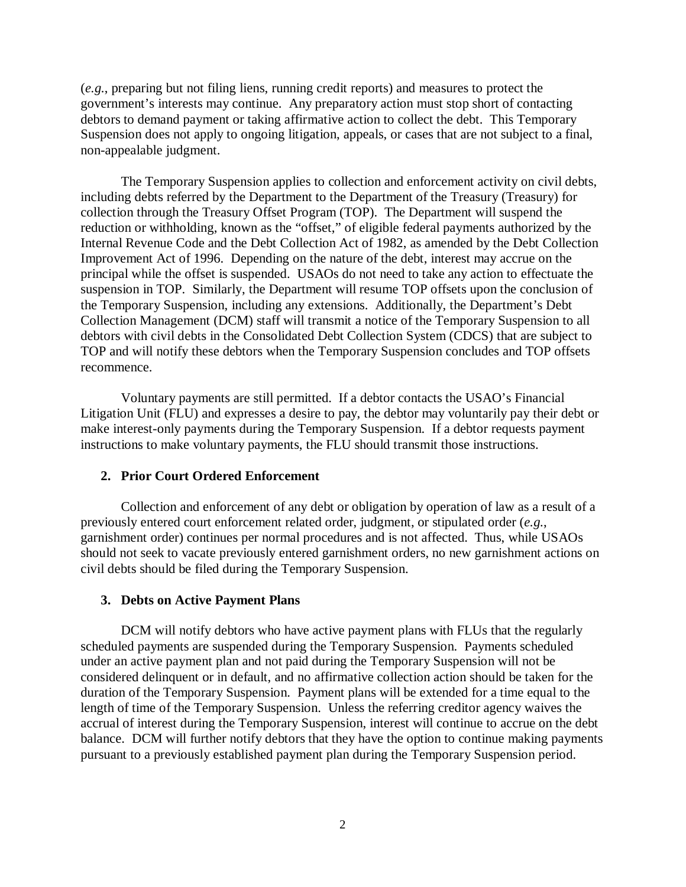(*e.g.*, preparing but not filing liens, running credit reports) and measures to protect the government's interests may continue. Any preparatory action must stop short of contacting debtors to demand payment or taking affirmative action to collect the debt. This Temporary Suspension does not apply to ongoing litigation, appeals, or cases that are not subject to a final, non-appealable judgment.

The Temporary Suspension applies to collection and enforcement activity on civil debts, including debts referred by the Department to the Department of the Treasury (Treasury) for collection through the Treasury Offset Program (TOP). The Department will suspend the reduction or withholding, known as the "offset," of eligible federal payments authorized by the Internal Revenue Code and the Debt Collection Act of 1982, as amended by the Debt Collection Improvement Act of 1996. Depending on the nature of the debt, interest may accrue on the principal while the offset is suspended. USAOs do not need to take any action to effectuate the suspension in TOP. Similarly, the Department will resume TOP offsets upon the conclusion of the Temporary Suspension, including any extensions. Additionally, the Department's Debt Collection Management (DCM) staff will transmit a notice of the Temporary Suspension to all debtors with civil debts in the Consolidated Debt Collection System (CDCS) that are subject to TOP and will notify these debtors when the Temporary Suspension concludes and TOP offsets recommence.

Voluntary payments are still permitted. If a debtor contacts the USAO's Financial Litigation Unit (FLU) and expresses a desire to pay, the debtor may voluntarily pay their debt or make interest-only payments during the Temporary Suspension. If a debtor requests payment instructions to make voluntary payments, the FLU should transmit those instructions.

### **2. Prior Court Ordered Enforcement**

Collection and enforcement of any debt or obligation by operation of law as a result of a previously entered court enforcement related order, judgment, or stipulated order (*e.g.*, garnishment order) continues per normal procedures and is not affected. Thus, while USAOs should not seek to vacate previously entered garnishment orders, no new garnishment actions on civil debts should be filed during the Temporary Suspension.

#### **3. Debts on Active Payment Plans**

DCM will notify debtors who have active payment plans with FLUs that the regularly scheduled payments are suspended during the Temporary Suspension. Payments scheduled under an active payment plan and not paid during the Temporary Suspension will not be considered delinquent or in default, and no affirmative collection action should be taken for the duration of the Temporary Suspension. Payment plans will be extended for a time equal to the length of time of the Temporary Suspension. Unless the referring creditor agency waives the accrual of interest during the Temporary Suspension, interest will continue to accrue on the debt balance. DCM will further notify debtors that they have the option to continue making payments pursuant to a previously established payment plan during the Temporary Suspension period.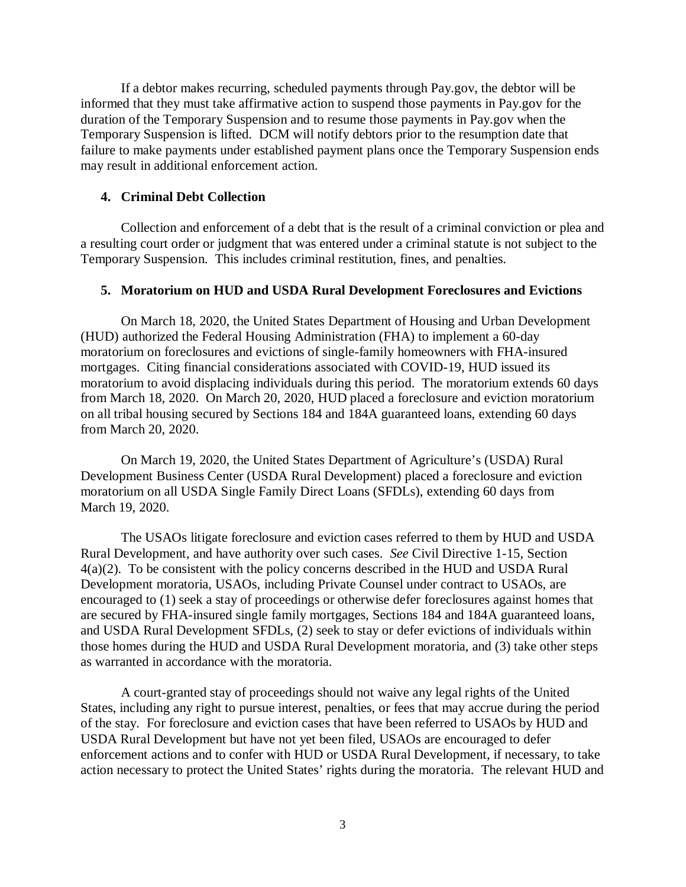If a debtor makes recurring, scheduled payments through Pay.gov, the debtor will be informed that they must take affirmative action to suspend those payments in Pay.gov for the duration of the Temporary Suspension and to resume those payments in Pay.gov when the Temporary Suspension is lifted. DCM will notify debtors prior to the resumption date that failure to make payments under established payment plans once the Temporary Suspension ends may result in additional enforcement action.

## **4. Criminal Debt Collection**

Collection and enforcement of a debt that is the result of a criminal conviction or plea and a resulting court order or judgment that was entered under a criminal statute is not subject to the Temporary Suspension. This includes criminal restitution, fines, and penalties.

### **5. Moratorium on HUD and USDA Rural Development Foreclosures and Evictions**

On March 18, 2020, the United States Department of Housing and Urban Development (HUD) authorized the Federal Housing Administration (FHA) to implement a 60-day moratorium on foreclosures and evictions of single-family homeowners with FHA-insured mortgages. Citing financial considerations associated with COVID-19, HUD issued its moratorium to avoid displacing individuals during this period. The moratorium extends 60 days from March 18, 2020. On March 20, 2020, HUD placed a foreclosure and eviction moratorium on all tribal housing secured by Sections 184 and 184A guaranteed loans, extending 60 days from March 20, 2020.

On March 19, 2020, the United States Department of Agriculture's (USDA) Rural Development Business Center (USDA Rural Development) placed a foreclosure and eviction moratorium on all USDA Single Family Direct Loans (SFDLs), extending 60 days from March 19, 2020.

The USAOs litigate foreclosure and eviction cases referred to them by HUD and USDA Rural Development, and have authority over such cases. *See* Civil Directive 1-15, Section 4(a)(2). To be consistent with the policy concerns described in the HUD and USDA Rural Development moratoria, USAOs, including Private Counsel under contract to USAOs, are encouraged to (1) seek a stay of proceedings or otherwise defer foreclosures against homes that are secured by FHA-insured single family mortgages, Sections 184 and 184A guaranteed loans, and USDA Rural Development SFDLs, (2) seek to stay or defer evictions of individuals within those homes during the HUD and USDA Rural Development moratoria, and (3) take other steps as warranted in accordance with the moratoria.

A court-granted stay of proceedings should not waive any legal rights of the United States, including any right to pursue interest, penalties, or fees that may accrue during the period of the stay. For foreclosure and eviction cases that have been referred to USAOs by HUD and USDA Rural Development but have not yet been filed, USAOs are encouraged to defer enforcement actions and to confer with HUD or USDA Rural Development, if necessary, to take action necessary to protect the United States' rights during the moratoria. The relevant HUD and